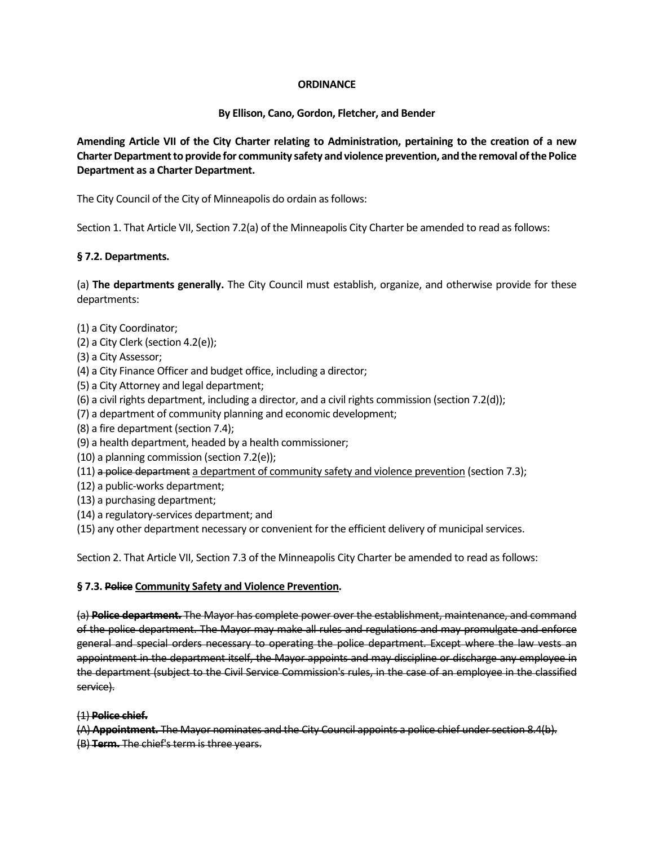## **ORDINANCE**

# **By Ellison, Cano, Gordon, Fletcher, and Bender**

**Amending Article VII of the City Charter relating to Administration, pertaining to the creation of a new Charter Department to provide for community safety and violence prevention, and the removal of the Police Department as a Charter Department.**

The City Council of the City of Minneapolis do ordain as follows:

Section 1. That Article VII, Section 7.2(a) of the Minneapolis City Charter be amended to read as follows:

# **§ 7.2. Departments.**

(a) **The departments generally.** The City Council must establish, organize, and otherwise provide for these departments:

- (1) a City Coordinator;
- (2) a City Clerk (section 4.2(e));
- (3) a City Assessor;
- (4) a City Finance Officer and budget office, including a director;
- (5) a City Attorney and legal department;
- (6) a civil rights department, including a director, and a civil rights commission (section 7.2(d));
- (7) a department of community planning and economic development;
- (8) a fire department (section 7.4);
- (9) a health department, headed by a health commissioner;
- (10) a planning commission (section 7.2(e));
- (11) a police department a department of community safety and violence prevention (section 7.3);
- (12) a public-works department;
- (13) a purchasing department;
- (14) a regulatory-services department; and
- (15) any other department necessary or convenient for the efficient delivery of municipal services.

Section 2. That Article VII, Section 7.3 of the Minneapolis City Charter be amended to read as follows:

### **§ 7.3. Police Community Safety and Violence Prevention.**

(a) **Police department.** The Mayor has complete power over the establishment, maintenance, and command of the police department. The Mayor may make all rules and regulations and may promulgate and enforce general and special orders necessary to operating the police department. Except where the law vests an appointment in the department itself, the Mayor appoints and may discipline or discharge any employee in the department (subject to the Civil Service Commission's rules, in the case of an employee in the classified service).

### (1) **Police chief.**

(A) **Appointment.** The Mayor nominates and the City Council appoints a police chief under section 8.4(b). (B) **Term.** The chief's term is three years.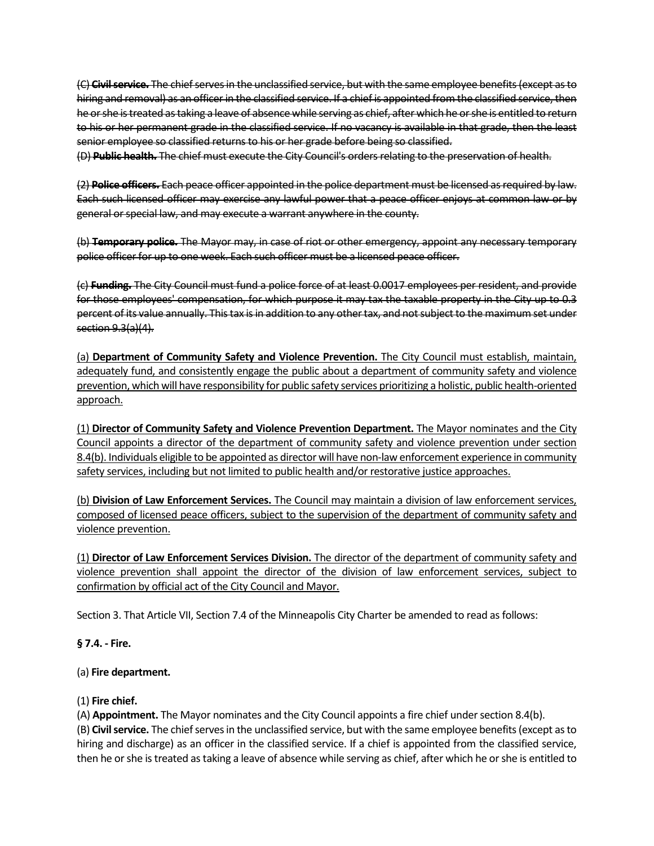(C) **Civil service.** The chief serves in the unclassified service, but with the same employee benefits (except as to hiring and removal) as an officer in the classified service. If a chief is appointed from the classified service, then he or she is treated as taking a leave of absence while serving as chief, after which he or she is entitled to return to his or her permanent grade in the classified service. If no vacancy is available in that grade, then the least senior employee so classified returns to his or her grade before being so classified.

(D) **Public health.** The chief must execute the City Council's orders relating to the preservation of health.

(2) **Police officers.** Each peace officer appointed in the police department must be licensed as required by law. Each such licensed officer may exercise any lawful power that a peace officer enjoys at common law or by general or special law, and may execute a warrant anywhere in the county.

(b) **Temporary police.** The Mayor may, in case of riot or other emergency, appoint any necessary temporary police officer for up to one week. Each such officer must be a licensed peace officer.

(c) **Funding.** The City Council must fund a police force of at least 0.0017 employees per resident, and provide for those employees' compensation, for which purpose it may tax the taxable property in the City up to 0.3 percent of its value annually. This tax is in addition to any other tax, and not subject to the maximum set under section 9.3(a)(4).

(a) **Department of Community Safety and Violence Prevention.** The City Council must establish, maintain, adequately fund, and consistently engage the public about a department of community safety and violence prevention, which will have responsibility for public safety services prioritizing a holistic, public health-oriented approach.

(1) **Director of Community Safety and Violence Prevention Department.** The Mayor nominates and the City Council appoints a director of the department of community safety and violence prevention under section 8.4(b). Individuals eligible to be appointed as director will have non-law enforcement experience in community safety services, including but not limited to public health and/or restorative justice approaches.

(b) **Division of Law Enforcement Services.** The Council may maintain a division of law enforcement services, composed of licensed peace officers, subject to the supervision of the department of community safety and violence prevention.

(1) **Director of Law Enforcement Services Division.** The director of the department of community safety and violence prevention shall appoint the director of the division of law enforcement services, subject to confirmation by official act of the City Council and Mayor.

Section 3. That Article VII, Section 7.4 of the Minneapolis City Charter be amended to read as follows:

**§ 7.4. - Fire.** 

### (a) **Fire department.**

### (1) **Fire chief.**

(A) **Appointment.** The Mayor nominates and the City Council appoints a fire chief under section 8.4(b).

(B) **Civil service.** The chief serves in the unclassified service, but with the same employee benefits (except as to hiring and discharge) as an officer in the classified service. If a chief is appointed from the classified service, then he or she is treated as taking a leave of absence while serving as chief, after which he or she is entitled to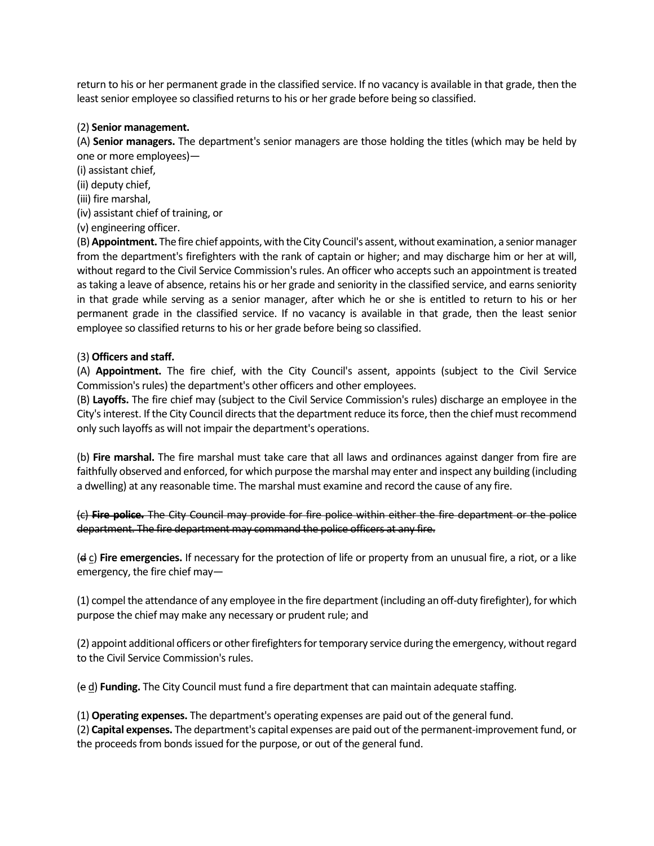return to his or her permanent grade in the classified service. If no vacancy is available in that grade, then the least senior employee so classified returns to his or her grade before being so classified.

#### (2) **Senior management.**

(A) **Senior managers.** The department's senior managers are those holding the titles (which may be held by one or more employees)—

- (i) assistant chief,
- (ii) deputy chief,
- (iii) fire marshal,
- (iv) assistant chief of training, or
- (v) engineering officer.

(B)**Appointment.** The fire chief appoints, with the City Council's assent, without examination, a senior manager from the department's firefighters with the rank of captain or higher; and may discharge him or her at will, without regard to the Civil Service Commission's rules. An officer who accepts such an appointment is treated as taking a leave of absence, retains his or her grade and seniority in the classified service, and earns seniority in that grade while serving as a senior manager, after which he or she is entitled to return to his or her permanent grade in the classified service. If no vacancy is available in that grade, then the least senior employee so classified returns to his or her grade before being so classified.

#### (3) **Officers and staff.**

(A) **Appointment.** The fire chief, with the City Council's assent, appoints (subject to the Civil Service Commission's rules) the department's other officers and other employees.

(B) **Layoffs.** The fire chief may (subject to the Civil Service Commission's rules) discharge an employee in the City's interest. If the City Council directs that the department reduce its force, then the chief must recommend only such layoffs as will not impair the department's operations.

(b) **Fire marshal.** The fire marshal must take care that all laws and ordinances against danger from fire are faithfully observed and enforced, for which purpose the marshal may enter and inspect any building (including a dwelling) at any reasonable time. The marshal must examine and record the cause of any fire.

(c) **Fire police.** The City Council may provide for fire police within either the fire department or the police department. The fire department may command the police officers at any fire.

(d c) **Fire emergencies.** If necessary for the protection of life or property from an unusual fire, a riot, or a like emergency, the fire chief may—

(1) compel the attendance of any employee in the fire department (including an off-duty firefighter), for which purpose the chief may make any necessary or prudent rule; and

(2) appoint additional officers or other firefighters for temporary service during the emergency, without regard to the Civil Service Commission's rules.

(e d) **Funding.** The City Council must fund a fire department that can maintain adequate staffing.

(1) **Operating expenses.** The department's operating expenses are paid out of the general fund.

(2) **Capital expenses.** The department's capital expenses are paid out of the permanent-improvement fund, or the proceeds from bonds issued for the purpose, or out of the general fund.